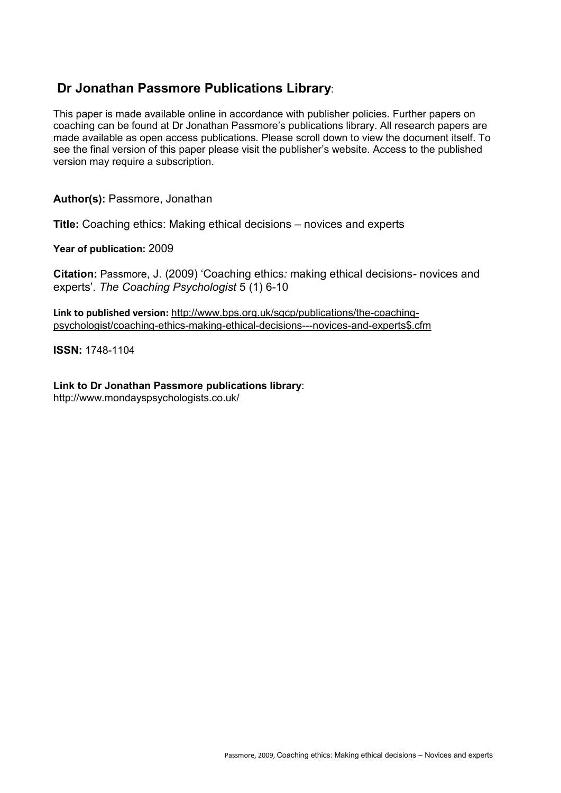## **Dr Jonathan Passmore Publications Library**:

This paper is made available online in accordance with publisher policies. Further papers on coaching can be found at Dr Jonathan Passmore's publications library. All research papers are made available as open access publications. Please scroll down to view the document itself. To see the final version of this paper please visit the publisher's website. Access to the published version may require a subscription.

**Author(s):** Passmore, Jonathan

**Title:** Coaching ethics: Making ethical decisions – novices and experts

**Year of publication:** 2009

**Citation:** Passmore, J. (2009) 'Coaching ethics*:* making ethical decisions*-* novices and experts'*. The Coaching Psychologist* 5 (1) 6-10

**Link to published version:** http://www.bps.org.uk/sgcp/publications/the-coachingpsychologist/coaching-ethics-making-ethical-decisions---novices-and-experts\$.cfm

**ISSN:** 1748-1104

**Link to Dr Jonathan Passmore publications library**:

http://www.mondayspsychologists.co.uk/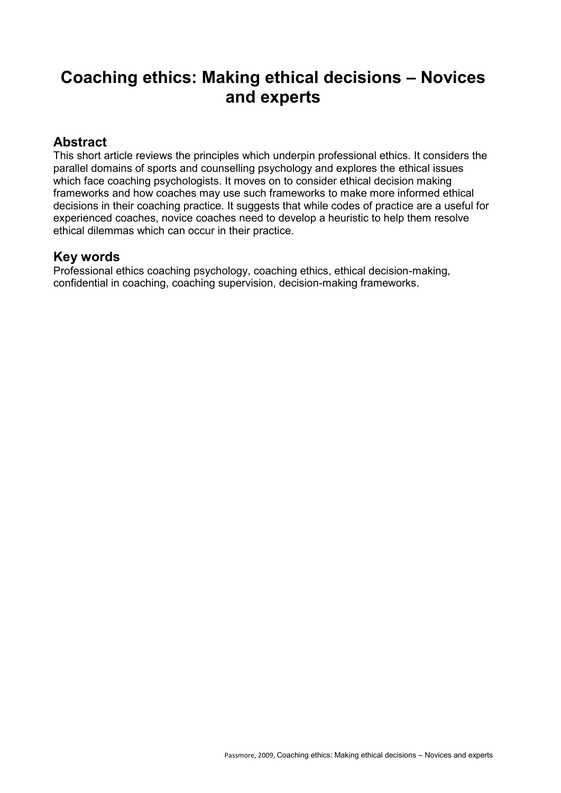# **Coaching ethics: Making ethical decisions – Novices and experts**

#### **Abstract**

This short article reviews the principles which underpin professional ethics. It considers the parallel domains of sports and counselling psychology and explores the ethical issues which face coaching psychologists. It moves on to consider ethical decision making frameworks and how coaches may use such frameworks to make more informed ethical decisions in their coaching practice. It suggests that while codes of practice are a useful for experienced coaches, novice coaches need to develop a heuristic to help them resolve ethical dilemmas which can occur in their practice.

#### **Key words**

Professional ethics coaching psychology, coaching ethics, ethical decision-making, confidential in coaching, coaching supervision, decision-making frameworks.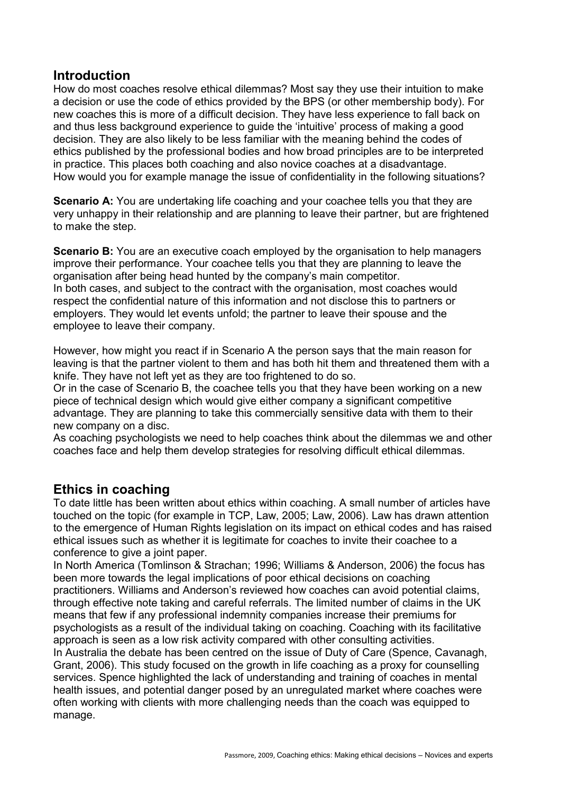#### **Introduction**

How do most coaches resolve ethical dilemmas? Most say they use their intuition to make a decision or use the code of ethics provided by the BPS (or other membership body). For new coaches this is more of a difficult decision. They have less experience to fall back on and thus less background experience to guide the 'intuitive' process of making a good decision. They are also likely to be less familiar with the meaning behind the codes of ethics published by the professional bodies and how broad principles are to be interpreted in practice. This places both coaching and also novice coaches at a disadvantage. How would you for example manage the issue of confidentiality in the following situations?

**Scenario A:** You are undertaking life coaching and your coachee tells you that they are very unhappy in their relationship and are planning to leave their partner, but are frightened to make the step.

**Scenario B:** You are an executive coach employed by the organisation to help managers improve their performance. Your coachee tells you that they are planning to leave the organisation after being head hunted by the company's main competitor. In both cases, and subject to the contract with the organisation, most coaches would respect the confidential nature of this information and not disclose this to partners or employers. They would let events unfold; the partner to leave their spouse and the employee to leave their company.

However, how might you react if in Scenario A the person says that the main reason for leaving is that the partner violent to them and has both hit them and threatened them with a knife. They have not left yet as they are too frightened to do so.

Or in the case of Scenario B, the coachee tells you that they have been working on a new piece of technical design which would give either company a significant competitive advantage. They are planning to take this commercially sensitive data with them to their new company on a disc.

As coaching psychologists we need to help coaches think about the dilemmas we and other coaches face and help them develop strategies for resolving difficult ethical dilemmas.

#### **Ethics in coaching**

To date little has been written about ethics within coaching. A small number of articles have touched on the topic (for example in TCP, Law, 2005; Law, 2006). Law has drawn attention to the emergence of Human Rights legislation on its impact on ethical codes and has raised ethical issues such as whether it is legitimate for coaches to invite their coachee to a conference to give a joint paper.

In North America (Tomlinson & Strachan; 1996; Williams & Anderson, 2006) the focus has been more towards the legal implications of poor ethical decisions on coaching practitioners. Williams and Anderson's reviewed how coaches can avoid potential claims, through effective note taking and careful referrals. The limited number of claims in the UK means that few if any professional indemnity companies increase their premiums for psychologists as a result of the individual taking on coaching. Coaching with its facilitative approach is seen as a low risk activity compared with other consulting activities.

In Australia the debate has been centred on the issue of Duty of Care (Spence, Cavanagh, Grant, 2006). This study focused on the growth in life coaching as a proxy for counselling services. Spence highlighted the lack of understanding and training of coaches in mental health issues, and potential danger posed by an unregulated market where coaches were often working with clients with more challenging needs than the coach was equipped to manage.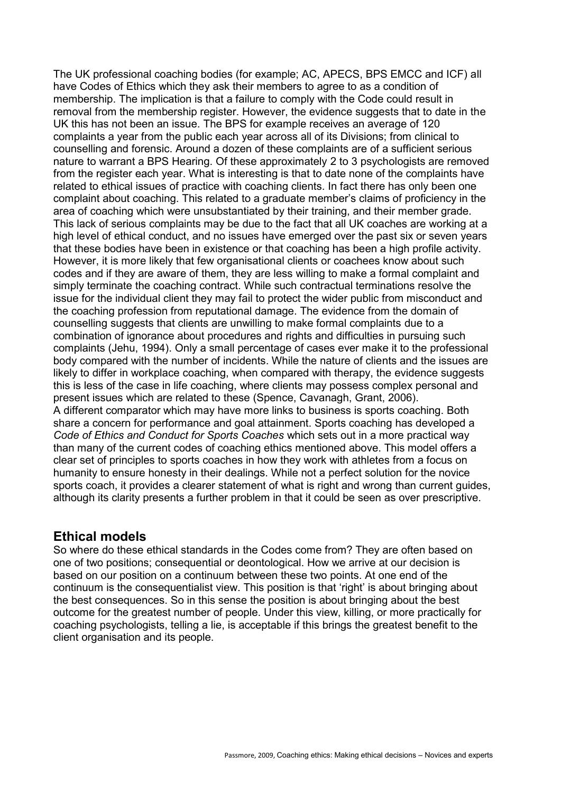The UK professional coaching bodies (for example; AC, APECS, BPS EMCC and ICF) all have Codes of Ethics which they ask their members to agree to as a condition of membership. The implication is that a failure to comply with the Code could result in removal from the membership register. However, the evidence suggests that to date in the UK this has not been an issue. The BPS for example receives an average of 120 complaints a year from the public each year across all of its Divisions; from clinical to counselling and forensic. Around a dozen of these complaints are of a sufficient serious nature to warrant a BPS Hearing. Of these approximately 2 to 3 psychologists are removed from the register each year. What is interesting is that to date none of the complaints have related to ethical issues of practice with coaching clients. In fact there has only been one complaint about coaching. This related to a graduate member's claims of proficiency in the area of coaching which were unsubstantiated by their training, and their member grade. This lack of serious complaints may be due to the fact that all UK coaches are working at a high level of ethical conduct, and no issues have emerged over the past six or seven years that these bodies have been in existence or that coaching has been a high profile activity. However, it is more likely that few organisational clients or coachees know about such codes and if they are aware of them, they are less willing to make a formal complaint and simply terminate the coaching contract. While such contractual terminations resolve the issue for the individual client they may fail to protect the wider public from misconduct and the coaching profession from reputational damage. The evidence from the domain of counselling suggests that clients are unwilling to make formal complaints due to a combination of ignorance about procedures and rights and difficulties in pursuing such complaints (Jehu, 1994). Only a small percentage of cases ever make it to the professional body compared with the number of incidents. While the nature of clients and the issues are likely to differ in workplace coaching, when compared with therapy, the evidence suggests this is less of the case in life coaching, where clients may possess complex personal and present issues which are related to these (Spence, Cavanagh, Grant, 2006). A different comparator which may have more links to business is sports coaching. Both share a concern for performance and goal attainment. Sports coaching has developed a *Code of Ethics and Conduct for Sports Coaches* which sets out in a more practical way than many of the current codes of coaching ethics mentioned above. This model offers a clear set of principles to sports coaches in how they work with athletes from a focus on humanity to ensure honesty in their dealings. While not a perfect solution for the novice sports coach, it provides a clearer statement of what is right and wrong than current guides, although its clarity presents a further problem in that it could be seen as over prescriptive.

#### **Ethical models**

So where do these ethical standards in the Codes come from? They are often based on one of two positions; consequential or deontological. How we arrive at our decision is based on our position on a continuum between these two points. At one end of the continuum is the consequentialist view. This position is that 'right' is about bringing about the best consequences. So in this sense the position is about bringing about the best outcome for the greatest number of people. Under this view, killing, or more practically for coaching psychologists, telling a lie, is acceptable if this brings the greatest benefit to the client organisation and its people.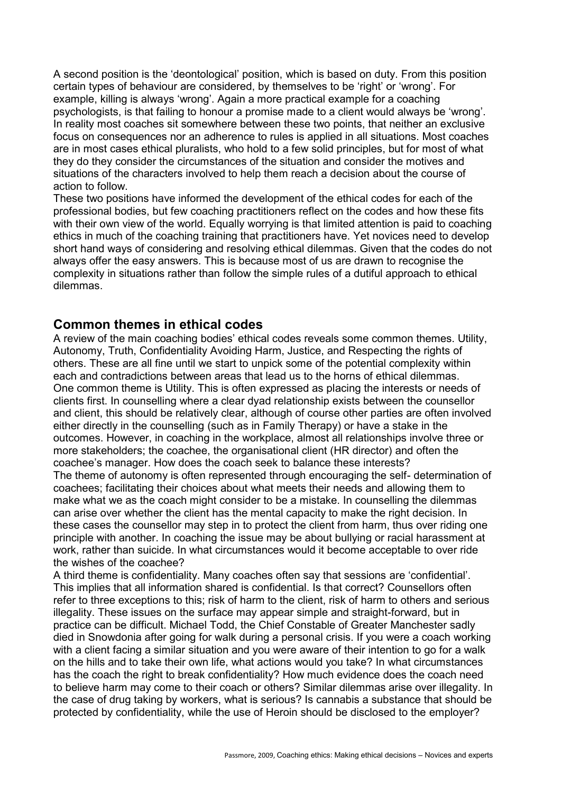A second position is the 'deontological' position, which is based on duty. From this position certain types of behaviour are considered, by themselves to be 'right' or 'wrong'. For example, killing is always 'wrong'. Again a more practical example for a coaching psychologists, is that failing to honour a promise made to a client would always be 'wrong'. In reality most coaches sit somewhere between these two points, that neither an exclusive focus on consequences nor an adherence to rules is applied in all situations. Most coaches are in most cases ethical pluralists, who hold to a few solid principles, but for most of what they do they consider the circumstances of the situation and consider the motives and situations of the characters involved to help them reach a decision about the course of action to follow.

These two positions have informed the development of the ethical codes for each of the professional bodies, but few coaching practitioners reflect on the codes and how these fits with their own view of the world. Equally worrying is that limited attention is paid to coaching ethics in much of the coaching training that practitioners have. Yet novices need to develop short hand ways of considering and resolving ethical dilemmas. Given that the codes do not always offer the easy answers. This is because most of us are drawn to recognise the complexity in situations rather than follow the simple rules of a dutiful approach to ethical dilemmas.

#### **Common themes in ethical codes**

A review of the main coaching bodies' ethical codes reveals some common themes. Utility, Autonomy, Truth, Confidentiality Avoiding Harm, Justice, and Respecting the rights of others. These are all fine until we start to unpick some of the potential complexity within each and contradictions between areas that lead us to the horns of ethical dilemmas. One common theme is Utility. This is often expressed as placing the interests or needs of clients first. In counselling where a clear dyad relationship exists between the counsellor and client, this should be relatively clear, although of course other parties are often involved either directly in the counselling (such as in Family Therapy) or have a stake in the outcomes. However, in coaching in the workplace, almost all relationships involve three or more stakeholders; the coachee, the organisational client (HR director) and often the coachee's manager. How does the coach seek to balance these interests? The theme of autonomy is often represented through encouraging the self- determination of coachees; facilitating their choices about what meets their needs and allowing them to make what we as the coach might consider to be a mistake. In counselling the dilemmas can arise over whether the client has the mental capacity to make the right decision. In these cases the counsellor may step in to protect the client from harm, thus over riding one principle with another. In coaching the issue may be about bullying or racial harassment at work, rather than suicide. In what circumstances would it become acceptable to over ride the wishes of the coachee?

A third theme is confidentiality. Many coaches often say that sessions are 'confidential'. This implies that all information shared is confidential. Is that correct? Counsellors often refer to three exceptions to this; risk of harm to the client, risk of harm to others and serious illegality. These issues on the surface may appear simple and straight-forward, but in practice can be difficult. Michael Todd, the Chief Constable of Greater Manchester sadly died in Snowdonia after going for walk during a personal crisis. If you were a coach working with a client facing a similar situation and you were aware of their intention to go for a walk on the hills and to take their own life, what actions would you take? In what circumstances has the coach the right to break confidentiality? How much evidence does the coach need to believe harm may come to their coach or others? Similar dilemmas arise over illegality. In the case of drug taking by workers, what is serious? Is cannabis a substance that should be protected by confidentiality, while the use of Heroin should be disclosed to the employer?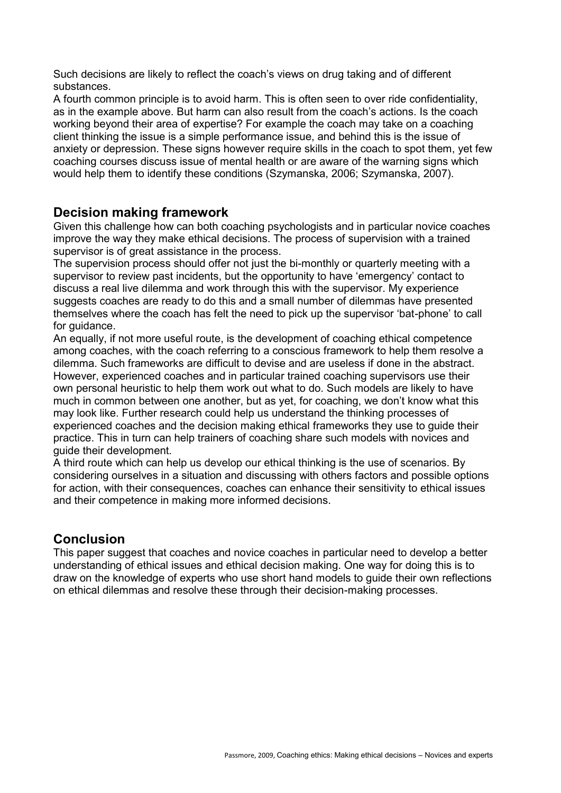Such decisions are likely to reflect the coach's views on drug taking and of different substances.

A fourth common principle is to avoid harm. This is often seen to over ride confidentiality, as in the example above. But harm can also result from the coach's actions. Is the coach working beyond their area of expertise? For example the coach may take on a coaching client thinking the issue is a simple performance issue, and behind this is the issue of anxiety or depression. These signs however require skills in the coach to spot them, yet few coaching courses discuss issue of mental health or are aware of the warning signs which would help them to identify these conditions (Szymanska, 2006; Szymanska, 2007).

#### **Decision making framework**

Given this challenge how can both coaching psychologists and in particular novice coaches improve the way they make ethical decisions. The process of supervision with a trained supervisor is of great assistance in the process.

The supervision process should offer not just the bi-monthly or quarterly meeting with a supervisor to review past incidents, but the opportunity to have 'emergency' contact to discuss a real live dilemma and work through this with the supervisor. My experience suggests coaches are ready to do this and a small number of dilemmas have presented themselves where the coach has felt the need to pick up the supervisor 'bat-phone' to call for quidance.

An equally, if not more useful route, is the development of coaching ethical competence among coaches, with the coach referring to a conscious framework to help them resolve a dilemma. Such frameworks are difficult to devise and are useless if done in the abstract. However, experienced coaches and in particular trained coaching supervisors use their own personal heuristic to help them work out what to do. Such models are likely to have much in common between one another, but as yet, for coaching, we don't know what this may look like. Further research could help us understand the thinking processes of experienced coaches and the decision making ethical frameworks they use to guide their practice. This in turn can help trainers of coaching share such models with novices and guide their development.

A third route which can help us develop our ethical thinking is the use of scenarios. By considering ourselves in a situation and discussing with others factors and possible options for action, with their consequences, coaches can enhance their sensitivity to ethical issues and their competence in making more informed decisions.

### **Conclusion**

This paper suggest that coaches and novice coaches in particular need to develop a better understanding of ethical issues and ethical decision making. One way for doing this is to draw on the knowledge of experts who use short hand models to guide their own reflections on ethical dilemmas and resolve these through their decision-making processes.